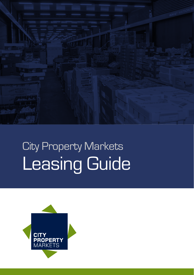

# City Property Markets Leasing Guide

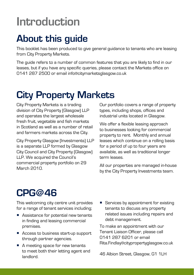### Introduction

#### About this guide

This booklet has been produced to give general guidance to tenants who are leasing from City Property Markets.

The guide refers to a number of common features that you are likely to find in our leases, but if you have any specific queries, please contact the Markets office on 0141 287 2500 or email info@citymarketsglasgow.co.uk

### City Property Markets

City Property Markets is a trading division of City Property (Glasgow) LLP and operates the largest wholesale fresh fruit, vegetable and fish markets in Scotland as well as a number of retail and farmers markets across the City.

City Property Glasgow (Investments) LLP is a separate LLP formed by Glasgow City Council and City Property (Glasgow) LLP. We acquired the Council's commercial property portfolio on 29 March 2010.

Our portfolio covers a range of property types, including shops, offices and industrial units located in Glasgow.

We offer a flexible leasing approach to businesses looking for commercial property to rent. Monthly and annual leases which continue on a rolling basis for a period of up to four years are available, as well as traditional longer term leases.

All our properties are managed in-house by the City Property Investments team.

#### CPG@46

This welcoming city centre unit provides for a range of tenant services including;

- Assistance for potential new tenants in finding and leasing commercial premises.
- Access to business start-up support through partner agencies.
- A meeting space for new tenants to meet both their letting agent and landlord.
- Services by appointment for existing tenants to discuss any property related issues including repairs and debt management.

To make an appointment with our Tenant Liaison Officer, please call 0141 287 6201 or email Rita.Findlay@citypropertyglasgow.co.uk

46 Albion Street, Glasgow, G1 1LH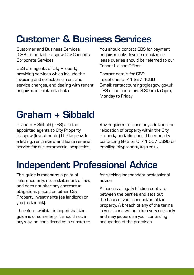#### Customer & Business Services

Customer and Business Services (CBS), is part of Glasgow City Council's Corporate Services.

CBS are agents of City Property, providing services which include the invoicing and collection of rent and service charges, and dealing with tenant enquiries in relation to both.

You should contact CBS for payment enquiries only. Invoice disputes or lease queries should be referred to our Tenant Liaison Officer.

Contact details for CBS: Telephone: 0141 287 4080 E-mail: rentaccounting@glasgow.gov.uk CBS office hours are 8.30am to 5pm, Monday to Friday.

### Graham + Sibbald

Graham + Sibbald (G+S) are the appointed agents to City Property Glasgow (Investments) LLP to provide a letting, rent review and lease renewal service for our commercial properties.

Any enquiries to lease any additional or relocation of property within the City Property portfolio should be made by contacting G+S on 0141 567 5396 or emailing cityproperty@g-s.co.uk

#### Independent Professional Advice

This guide is meant as a point of reference only, not a statement of law, and does not alter any contractual obligations placed on either City Property Investments (as landlord) or you (as tenant).

Therefore, whilst it is hoped that the guide is of some help, it should not, in any way, be considered as a substitute for seeking independent professional advice.

A lease is a legally binding contract between the parties and sets out the basis of your occupation of the property. A breach of any of the terms in your lease will be taken very seriously and may jeopardise your continuing occupation of the premises.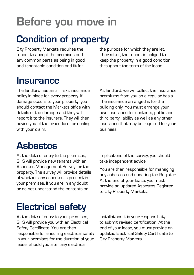## Before you move in

#### Condition of property

City Property Markets requires the tenant to accept the premises and any common parts as being in good and tenantable condition and fit for

the purpose for which they are let. Thereafter, the tenant is obliged to keep the property in a good condition throughout the term of the lease.

#### **Insurance**

The landlord has an all risks insurance policy in place for every property. If damage occurs to your property, you should contact the Markets office with details of the damage and they will report it to the insurers. They will then advise you of the procedure for dealing with your claim.

As landlord, we will collect the insurance premiums from you on a regular basis. The insurance arranged is for the building only. You must arrange your own insurance for contents, public and third party liability as well as any other insurance that may be required for your business.

#### Asbestos

At the date of entry to the premises, G+S will provide new tenants with an Asbestos Management Survey for the property. The survey will provide details of whether any asbestos is present in your premises. If you are in any doubt or do not understand the contents or

implications of the survey, you should take independent advice.

You are then responsible for managing any asbestos and updating the Register. At the end of your lease, you must provide an updated Asbestos Register to City Property Markets.

#### Electrical safety

At the date of entry to your premises. G+S will provide you with an Electrical Safety Certificate. You are then responsible for ensuring electrical safety in your premises for the duration of your lease. Should you alter any electrical

installations it is your responsibility to submit revised certification. At the end of your lease, you must provide an updated Electrical Safety Certificate to City Property Markets.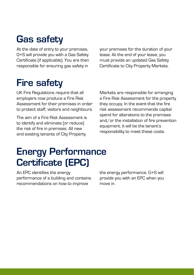#### Gas safety

At the date of entry to your premises, G+S will provide you with a Gas Safety Certificate (if applicable). You are then responsible for ensuring gas safety in

#### Fire safety

UK Fire Regulations require that all employers now produce a Fire Risk Assessment for their premises in order to protect staff, visitors and neighbours.

The aim of a Fire Risk Assessment is to identify and eliminate (or reduce) the risk of fire in premises. All new and existing tenants of City Property

your premises for the duration of your lease. At the end of your lease, you must provide an updated Gas Safety Certificate to City Property Markets.

Markets are responsible for arranging a Fire Risk Assessment for the property they occupy. In the event that the fire risk assessment recommends capital spend for alterations to the premises and/or the installation of fire prevention equipment, it will be the tenant's responsibility to meet these costs.

#### Energy Performance Certificate (EPC)

An EPC identifies the energy performance of a building and contains recommendations on how to improve

the energy performance. G+S will provide you with an EPC when you move in.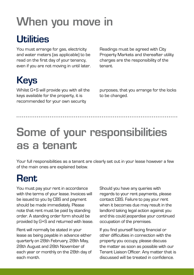## When you move in

#### Utilities

You must arrange for gas, electricity and water meters (as applicable) to be read on the first day of your tenancy, even if you are not moving in until later. Readings must be agreed with City Property Markets and thereafter utility charges are the responsibility of the tenant.

### Keys

Whilst G+S will provide you with all the keys available for the property, it is recommended for your own security

purposes, that you arrange for the locks to be changed.

## Some of your responsibilities as a tenant

Your full responsibilities as a tenant are clearly set out in your lease however a few of the main ones are explained below.

#### Rent

You must pay your rent in accordance with the terms of your lease. Invoices will be issued to you by CBS and payment should be made immediately. Please note that rent must be paid by standing order. A standing order form should be provided by G+S and returned with lease.

Rent will normally be stated in your lease as being payable in advance either quarterly on 28th February, 28th May, 28th August and 28th November of each year or monthly on the 28th day of each month.

Should you have any queries with regards to your rent payments, please contact CBS. Failure to pay your rent when it becomes due may result in the landlord taking legal action against you and this could jeopardise your continued occupation of the premises.

If you find yourself facing financial or other difficulties in connection with the property you occupy, please discuss the matter as soon as possible with our Tenant Liaison Officer. Any matter that is discussed will be treated in confidence.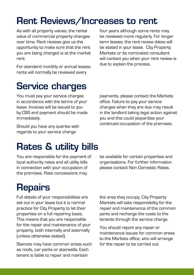#### Rent Reviews/Increases to rent

As with all property values, the rental value of commercial property changes over time. Rent reviews give us the opportunity to make sure that the rent you are being charged is at the market rent.

For standard monthly or annual leases, rents will normally be reviewed every

four years although some rents may be reviewed more regularly. For longer term leases, the rent review dates will be stated in your lease. City Property Markets or its nominated consultant will contact you when your rent review is due to explain the process.

#### Service charges

You must pay your service charges in accordance with the terms of your lease. Invoices will be issued to you by CBS and payment should be made immediately.

Should you have any queries with regards to your service charge

payments, please contact the Markets office. Failure to pay your service charges when they are due may result in the landlord taking legal action against you and this could jeopardise your continued occupation of the premises.

#### Rates & utility bills

You are responsible for the payment of local authority rates and all utility bills in connection with your occupation of the premises. Rate concessions may

#### **Repairs**

Full details of your responsibilities are set out in your lease but it is normal practice for City Property to let their properties on a full repairing basis. This means that you are responsible for the repair and maintenance of your property, both internally and externally (unless otherwise stated).

Stances may have common areas such as roofs, car parks or stairwells. Each tenant is liable to repair and maintain

be available for certain properties and organisations. For further information please contact Non Domestic Rates.

the area they occupy. City Property Markets will take responsibility for the repair and maintenance of the common parts and recharge the costs to the tenants through the service charge.

You should report any repair or maintenance issues for common areas to the Markets office, who will arrange for the repair to be carried out.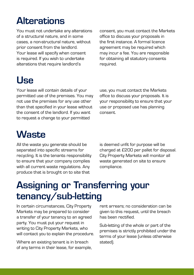#### **Alterations**

You must not undertake any alterations of a structural nature, and in some cases, a non-structural nature, without prior consent from the landlord. Your lease will specify when consent is required. If you wish to undertake alterations that require landlord's

consent, you must contact the Markets office to discuss your proposals in the first instance. A formal licence agreement may be required which may incur a fee. You are responsible for obtaining all statutory consents required.

#### Use

Your lease will contain details of your permitted use of the premises. You may not use the premises for any use other than that specified in your lease without the consent of the landlord. If you want to request a change to your permitted

use, you must contact the Markets office to discuss your proposals. It is your responsibility to ensure that your use or proposed use has planning consent.

#### **Waste**

All the waste you generate should be separated into specific streams for recycling. It is the tenants responsibility to ensure that your company complies with all current waste regulations. Any produce that is brought on to site that

is deemed unfit for purpose will be charged at £200 per pallet for disposal. City Property Markets will monitor all waste generated on site to ensure compliance.

#### Assigning or Transferring your tenancy/sub-letting

In certain circumstances, City Property Markets may be prepared to consider a transfer of your tenancy to an agreed party. You must put your request in writing to City Property Markets, who will contact you to explain the procedure.

Where an existing tenant is in breach of any terms in their lease, for example, rent arrears; no consideration can be given to this request, until the breach has been rectified.

Sub-letting of the whole or part of the premises is strictly prohibited under the terms of your lease (unless otherwise stated).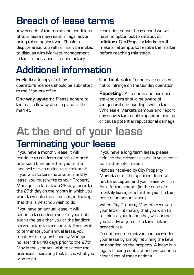#### Breach of lease terms

Any breach of the terms and conditions of your lease may result in legal action being taken against you. Should a dispute arise, you will normally be invited to discuss with Markets management in the first instance. If a satisfactory

resolution cannot be reached we will have no option but to instruct our solicitors. City Property Markets will make all attempts to resolve the matter before reaching this stage.

### Additional information

Forklifts: A copy of all forklift operator's licences should be submitted to the Markets office.

**One-way system: Please adhere to** the traffic flow system in place at the market.

Car boot sale: Tenants are advised not to infringe on the Sunday operation.

**Reporting:** All tenants and business stakeholders should be aware of the general surroundings within the Wholesale Markets campus and report any activity that could impact on trading or cause potential reputational damage.

### At the end of your lease Terminating your lease

If you have a monthly lease, it will continue to run from month to month until such time as either you or the landlord serves notice to terminate it. If you wish to terminate your monthly lease, you must write to your Property Manager no later than 28 days prior to the 27th day on the month in which you want to vacate the premises, indicating that this is what you wish to do.

If you have an annual lease, it will continue to run from year to year until such time as either you or the landlord serves notice to terminate it. If you wish to terminate your annual lease, you must write to your Property Manager no later than 40 days prior to the 27th May in the year you wish to vacate the premises, indicating that this is what you wish to do.

If you have a long term lease, please refer to the relevant clause in your lease for further information.

Notices received by City Property Markets after the specified dates will not be accepted and your lease will run for a further month (in the case of a monthly lease) or a further year (in the case of an annual lease).

When City Property Markets receives your letter intimating that you wish to terminate your lease, they will contact you to advise you of the termination procedures.

Do not assume that you can surrender your lease by simply returning the keys or abandoning the property. A lease is a legally binding contract and will continue regardless of these actions.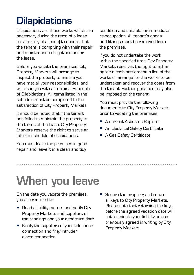### **Dilapidations**

Dilapidations are those works which are necessary during the term of a lease (or at expiry of a lease) to ensure that the tenant is complying with their repair and maintenance obligations under the lease.

Before you vacate the premises, City Property Markets will arrange to inspect the property to ensure you have met all your responsibilities, and will issue you with a Terminal Schedule of Dilapidations. All items listed in the schedule must be completed to the satisfaction of City Property Markets.

It should be noted that if the tenant has failed to maintain the property to the terms of the lease, City Property Markets reserve the right to serve an interim schedule of dilapidations.

You must leave the premises in good repair and leave it in a clean and tidy

condition and suitable for immediate re-occupation. All tenant's goods and fittings must be removed from the premises.

If you do not undertake the work within the specified time, City Property Markets reserves the right to either agree a cash settlement in lieu of the works or arrange for the works to be undertaken and recover the costs from the tenant. Further penalties may also be imposed on the tenant.

You must provide the following documents to City Property Markets prior to vacating the premises:

- A current Asbestos Register
- An Electrical Safety Certificate
- A Gas Safety Certificate

## When you leave

On the date you vacate the premises, you are required to:

- Read all utility meters and notify City Property Markets and suppliers of the readings and your departure date
- Notify the suppliers of your telephone connection and fire/intruder alarm connection
- Secure the property and return all keys to City Property Markets. Please note that returning the keys before the agreed vacation date will not terminate your liability unless previously agreed in writing by City Property Markets.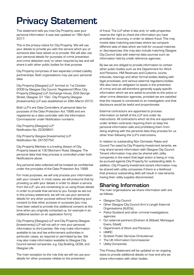#### Privacy Statement

This statement tells you how City Property uses your personal information. It was last updated on 18th April 2017.

This is the privacy notice for City Property. We will use your details to provide you with the service which you or someone else have asked us to provide. We will also use your personal details for purposes of crime prevention and crime detection and/or when required by law and will share it with other public bodies for that purpose.

City Property comprises of two separate Limited Liability partnerships. Both organisations may use your personal data.

City Property (Glasgow) LLP, formed on 1st October 2009 by Glasgow City Council. Registered Office: City Property (Glasgow) LLP, Exchange House, 229 George Street, Glasgow, G1 1QU. City Property Glasgow (Investments) LLP was established on 29th March 2010.

Both LLP's are Data Controllers of personal data for purposes of the Data Protection Act 1998 and are registered as a data controller with the Information Commissioner under Notification numbers:

City Property (Glasgow) LLP: Notification No. Z2329841.

City Property Glasgow (Investments) LLP: Notification No. ZA155754.

City Property Markets is a trading division of City Property based at 130 Blochairn Road, Glasgow. The personal data that they process is controlled under both Notifications above.

Any personal data collected will be treated as confidential under the principles of the Data Protection Act 1998.

For most purposes, we will only process your information with your consent. In most cases, we will presume that by providing us with your details in order to obtain a service from the LLP, you are consenting to us using those details in order to provide that service to you. Except as set out in this privacy statement, we will not use your personal details for any other purpose without first obtaining your consent to that other purpose or purposes (you may have been asked to provide this additional consent at the time when you originally contacted us, for example in an additional section on an application form).

City Property (Glasgow) LLP and City Property Glasgow (Investments) LLP will not sell or rent your personal information to third parties. We may make information available to tax and law enforcement authorities in particular cases, as required or permitted by law. We may also make information available to Glasgow City Council owned companies, e.g. City Building, GCSS, and Glasgow Life.

The main exception to the rule that we will not use your details for other purposes relates to the prevention

of fraud. The LLP when it lets and/or sells properties reserve the right to check the information you have provided for accuracy, in order to detect fraud. This may involve data matching exercises where we compare different sets of data which we hold for unusual matches or discrepancies; this may also include matching Glasgow City Council data with external data sources such as information held by credit reference agencies.

By law we are obliged to provide information to certain other public bodies such as the Department for Work and Pensions, HM Revenues and Customs, courts, tribunals, hearings and other formal bodies dealing with legal processes, and various external regulatory bodies. We also have an obligation to assist in the prevention of crime and we will therefore generally supply specific information which we are asked to provide to the police or other crime detection agencies, provided we are satisfied that the request is connected to an investigation and that disclosure would be lawful and proportionate.

External contractors are appointed to process information on behalf of the LLP and under its instructions. All contractors which do this are appointed under written contracts requiring them to keep the personal information safe and prohibiting them from doing anything with the personal data they process for us other than following the LLP's instructions.

In relation to outstanding Non Domestic Rates and Council Tax owed by City Property Investment tenants, we may share tenant information with Glasgow City Council. Tenant information may also be shared with utility companies in the event that legal action is being or may be pursued against City Property for outstanding debt. In addition, City Property Investment tenant information may be shared with utility companies if there is a likelihood that previous outstanding debt will result in new tenants having their utility supplies disconnected.

#### Sharing Information

The main organisations we share information with are as follows:

- Glasgow City Council
- Other Glasgow City Council Arm's Length External Organisations (ALEOs)
- Police Scotland and other criminal investigations agencies
- Our external partners (Graham & Sibbald, Montague Evans, Edzell)
- Department of Work and Pensions
- HMRC
- Scottish Public Services Ombudsman
- The UK Information Commissioner
- Utility Companies

This Privacy Statement will be updated on an ongoing basis to provide additional details on how and why we share information with other bodies.